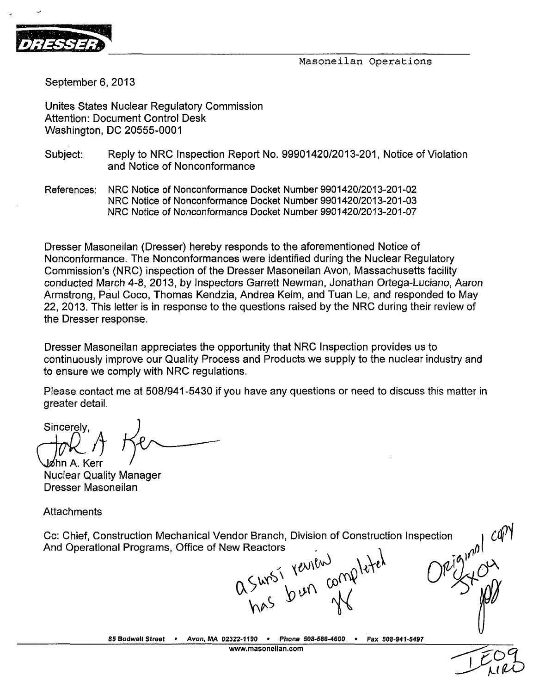

September 6, 2013

Unites States Nuclear Regulatory Commission Attention: Document Control Desk Washington, DC 20555-0001

- Subject: Reply to NRC Inspection Report No. 99901420/2013-201, Notice of Violation and Notice of Nonconformance
- References: NRC Notice of Nonconformance Docket Number 9901420/2013-201-02 NRC Notice of Nonconformance Docket Number 9901420/2013-201-03 NRC Notice of Nonconformance Docket Number 9901420/2013-201-07

Dresser Masoneilan (Dresser) hereby responds to the aforementioned Notice of Nonconformance. The Nonconformances were identified during the Nuclear Regulatory Commission's (NRC) inspection of the Dresser Masoneilan Avon, Massachusetts facility conducted March 4-8, 2013, by Inspectors Garrett Newman, Jonathan Ortega-Luciano, Aaron Armstrong, Paul Coco, Thomas Kendzia, Andrea Keim, and Tuan Le, and responded to May 22, 2013. This letter is in response to the questions raised by the NRC during their review of the Dresser response.

Dresser Masoneilan appreciates the opportunity that NRC Inspection provides us to continuously improve our Quality Process and Products we supply to the nuclear industry and to ensure we comply with NRC regulations.

Please contact me at 508/941-5430 if you have any questions or need to discuss this matter in greater detail.

Sincerely, **\46inA.Kerr**

Nuclear Quality Manager Dresser Masoneilan

**Attachments** 

Cc: Chief, Construction Mechanical Vendor Branch, Division of Construction Inspection

And Operational Programs, Office of New Reactors<br>  $0.5 \frac{10000}{1000}$ <br>  $0.5 \frac{1000}{100}$ 

**85 Bodwell** Street • Avon, **MA 02322-1190** \* Phone **508-686-4600 -** Fax 508-941-5497 **www.masoneilan.com**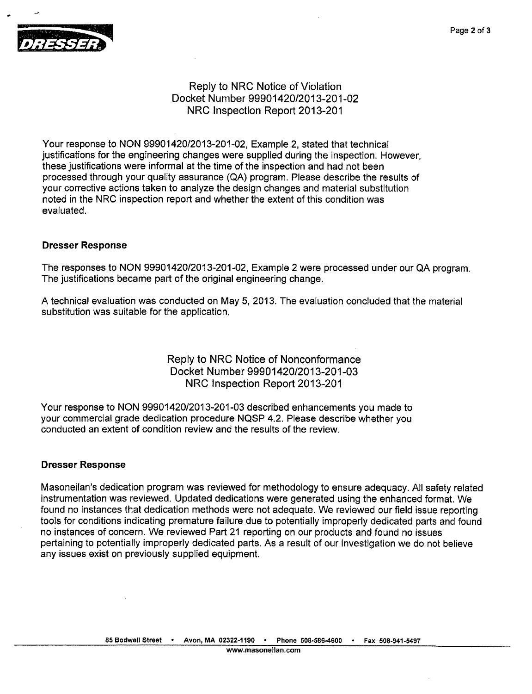

# Reply to NRC Notice of Violation Docket Number 99901420/2013-201-02 NRC Inspection Report 2013-201

Your response to NON 99901420/2013-201-02, Example 2, stated that technical justifications for the engineering changes were supplied during the inspection. However, these justifications were informal at the time of the inspection and had not been processed through your quality assurance (QA) program. Please describe the results of your corrective actions taken to analyze the design changes and material substitution noted in the NRC inspection report and whether the extent of this condition was evaluated.

## Dresser Response

The responses to NON 99901420/2013-201-02, Example 2 were processed under our QA program. The justifications became part of the original engineering change.

A technical evaluation was conducted on May 5, 2013. The evaluation concluded that the material substitution was suitable for the application.

## Reply to NRC Notice of Nonconformance Docket Number 99901420/2013-201-03 NRC Inspection Report 2013-201

Your response to NON 99901420/2013-201-03 described enhancements you made to your commercial grade dedication procedure NQSP 4.2. Please describe whether you conducted an extent of condition review and the results of the review.

### Dresser Response

Masoneilan's dedication program was reviewed for methodology to ensure adequacy. All safety related instrumentation was reviewed. Updated dedications were generated using the enhanced format. We found no instances that dedication methods were not adequate. We reviewed our field issue reporting tools for conditions indicating premature failure due to potentially improperly dedicated parts and found no instances of concern. We reviewed Part 21 reporting on our products and found no issues pertaining to potentially improperly dedicated parts. As a result of our investigation we do not believe any issues exist on previously supplied equipment.